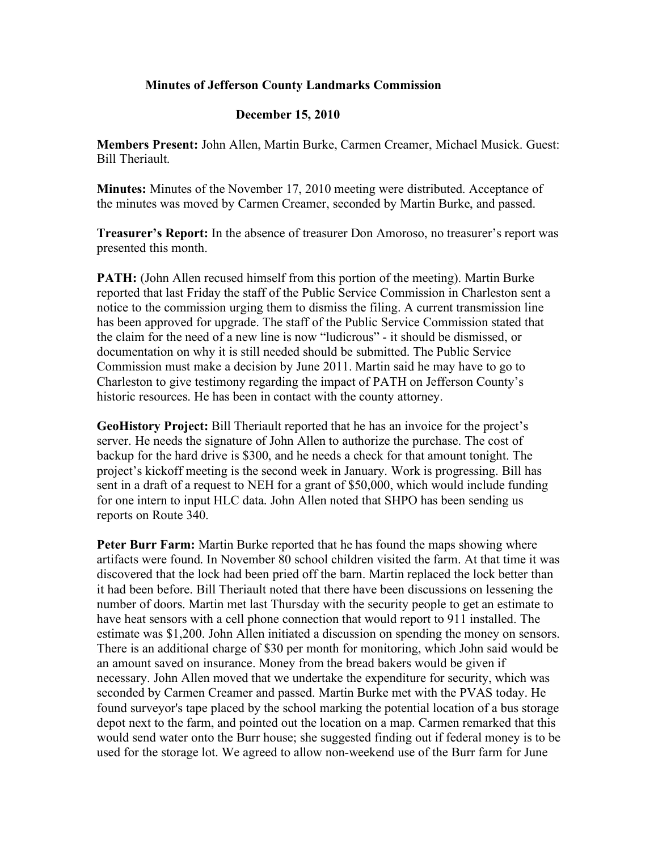## **Minutes of Jefferson County Landmarks Commission**

## **December 15, 2010**

**Members Present:** John Allen, Martin Burke, Carmen Creamer, Michael Musick. Guest: Bill Theriault.

**Minutes:** Minutes of the November 17, 2010 meeting were distributed. Acceptance of the minutes was moved by Carmen Creamer, seconded by Martin Burke, and passed.

**Treasurer's Report:** In the absence of treasurer Don Amoroso, no treasurer's report was presented this month.

**PATH:** (John Allen recused himself from this portion of the meeting). Martin Burke reported that last Friday the staff of the Public Service Commission in Charleston sent a notice to the commission urging them to dismiss the filing. A current transmission line has been approved for upgrade. The staff of the Public Service Commission stated that the claim for the need of a new line is now "ludicrous" - it should be dismissed, or documentation on why it is still needed should be submitted. The Public Service Commission must make a decision by June 2011. Martin said he may have to go to Charleston to give testimony regarding the impact of PATH on Jefferson County's historic resources. He has been in contact with the county attorney.

**GeoHistory Project:** Bill Theriault reported that he has an invoice for the project's server. He needs the signature of John Allen to authorize the purchase. The cost of backup for the hard drive is \$300, and he needs a check for that amount tonight. The project's kickoff meeting is the second week in January. Work is progressing. Bill has sent in a draft of a request to NEH for a grant of \$50,000, which would include funding for one intern to input HLC data. John Allen noted that SHPO has been sending us reports on Route 340.

**Peter Burr Farm:** Martin Burke reported that he has found the maps showing where artifacts were found. In November 80 school children visited the farm. At that time it was discovered that the lock had been pried off the barn. Martin replaced the lock better than it had been before. Bill Theriault noted that there have been discussions on lessening the number of doors. Martin met last Thursday with the security people to get an estimate to have heat sensors with a cell phone connection that would report to 911 installed. The estimate was \$1,200. John Allen initiated a discussion on spending the money on sensors. There is an additional charge of \$30 per month for monitoring, which John said would be an amount saved on insurance. Money from the bread bakers would be given if necessary. John Allen moved that we undertake the expenditure for security, which was seconded by Carmen Creamer and passed. Martin Burke met with the PVAS today. He found surveyor's tape placed by the school marking the potential location of a bus storage depot next to the farm, and pointed out the location on a map. Carmen remarked that this would send water onto the Burr house; she suggested finding out if federal money is to be used for the storage lot. We agreed to allow non-weekend use of the Burr farm for June